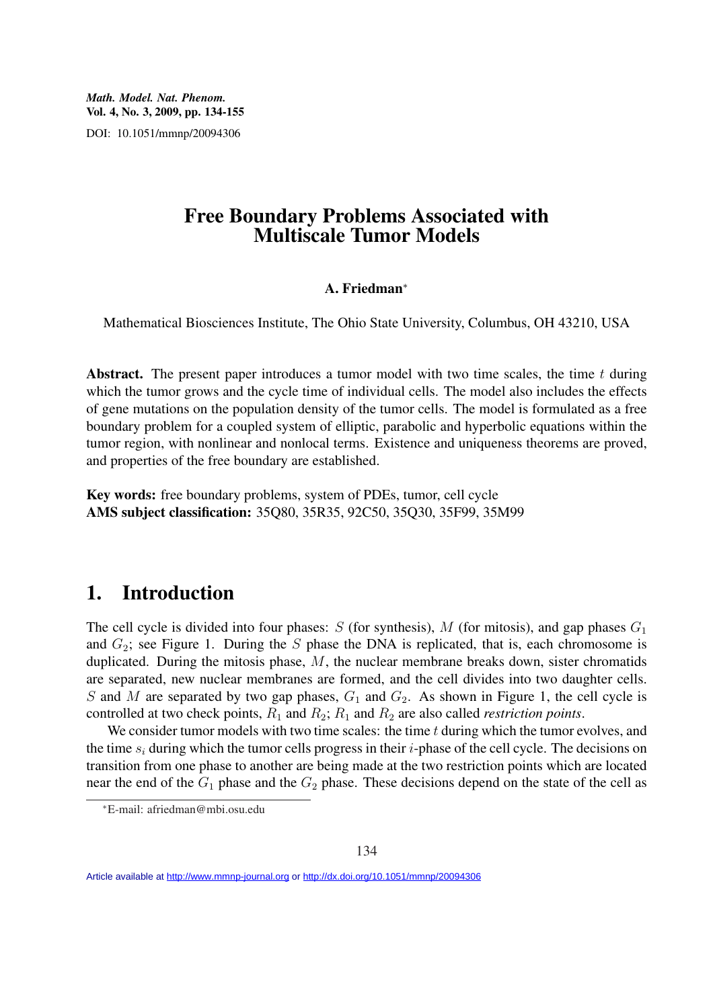*Math. Model. Nat. Phenom.* Vol. 4, No. 3, 2009, pp. 134-155 DOI: 10.1051/mmnp/20094306

#### Free Boundary Problems Associated with Multiscale Tumor Models

#### A. Friedman<sup>∗</sup>

Mathematical Biosciences Institute, The Ohio State University, Columbus, OH 43210, USA

Abstract. The present paper introduces a tumor model with two time scales, the time  $t$  during which the tumor grows and the cycle time of individual cells. The model also includes the effects of gene mutations on the population density of the tumor cells. The model is formulated as a free boundary problem for a coupled system of elliptic, parabolic and hyperbolic equations within the tumor region, with nonlinear and nonlocal terms. Existence and uniqueness theorems are proved, and properties of the free boundary are established.

Key words: free boundary problems, system of PDEs, tumor, cell cycle AMS subject classification: 35Q80, 35R35, 92C50, 35Q30, 35F99, 35M99

### 1. Introduction

The cell cycle is divided into four phases: S (for synthesis), M (for mitosis), and gap phases  $G_1$ and  $G_2$ ; see Figure 1. During the S phase the DNA is replicated, that is, each chromosome is duplicated. During the mitosis phase,  $M$ , the nuclear membrane breaks down, sister chromatids are separated, new nuclear membranes are formed, and the cell divides into two daughter cells. S and M are separated by two gap phases,  $G_1$  and  $G_2$ . As shown in Figure 1, the cell cycle is controlled at two check points,  $R_1$  and  $R_2$ ;  $R_1$  and  $R_2$  are also called *restriction points*.

We consider tumor models with two time scales: the time  $t$  during which the tumor evolves, and the time  $s_i$  during which the tumor cells progress in their i-phase of the cell cycle. The decisions on transition from one phase to another are being made at the two restriction points which are located near the end of the  $G_1$  phase and the  $G_2$  phase. These decisions depend on the state of the cell as

Article available at<http://www.mmnp-journal.org> or <http://dx.doi.org/10.1051/mmnp/20094306>

<sup>∗</sup>E-mail: afriedman@mbi.osu.edu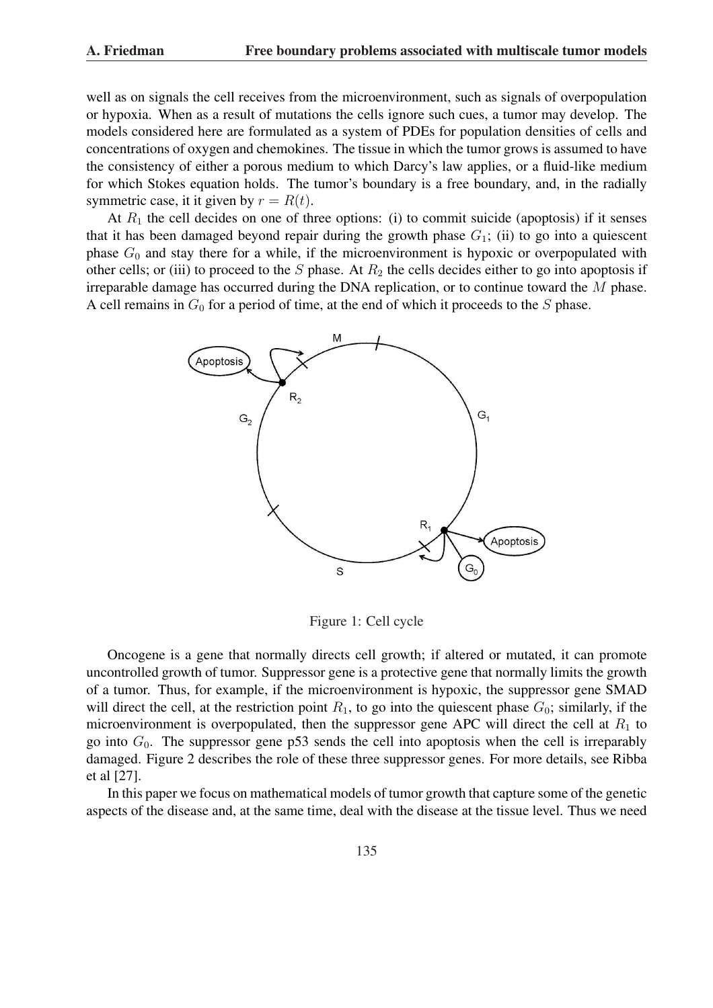well as on signals the cell receives from the microenvironment, such as signals of overpopulation or hypoxia. When as a result of mutations the cells ignore such cues, a tumor may develop. The models considered here are formulated as a system of PDEs for population densities of cells and concentrations of oxygen and chemokines. The tissue in which the tumor grows is assumed to have the consistency of either a porous medium to which Darcy's law applies, or a fluid-like medium for which Stokes equation holds. The tumor's boundary is a free boundary, and, in the radially symmetric case, it it given by  $r = R(t)$ .

At  $R_1$  the cell decides on one of three options: (i) to commit suicide (apoptosis) if it senses that it has been damaged beyond repair during the growth phase  $G_1$ ; (ii) to go into a quiescent phase  $G_0$  and stay there for a while, if the microenvironment is hypoxic or overpopulated with other cells; or (iii) to proceed to the  $S$  phase. At  $R_2$  the cells decides either to go into apoptosis if irreparable damage has occurred during the DNA replication, or to continue toward the M phase. A cell remains in  $G_0$  for a period of time, at the end of which it proceeds to the S phase.



Figure 1: Cell cycle

Oncogene is a gene that normally directs cell growth; if altered or mutated, it can promote uncontrolled growth of tumor. Suppressor gene is a protective gene that normally limits the growth of a tumor. Thus, for example, if the microenvironment is hypoxic, the suppressor gene SMAD will direct the cell, at the restriction point  $R_1$ , to go into the quiescent phase  $G_0$ ; similarly, if the microenvironment is overpopulated, then the suppressor gene APC will direct the cell at  $R_1$  to go into  $G_0$ . The suppressor gene p53 sends the cell into apoptosis when the cell is irreparably damaged. Figure 2 describes the role of these three suppressor genes. For more details, see Ribba et al [27].

In this paper we focus on mathematical models of tumor growth that capture some of the genetic aspects of the disease and, at the same time, deal with the disease at the tissue level. Thus we need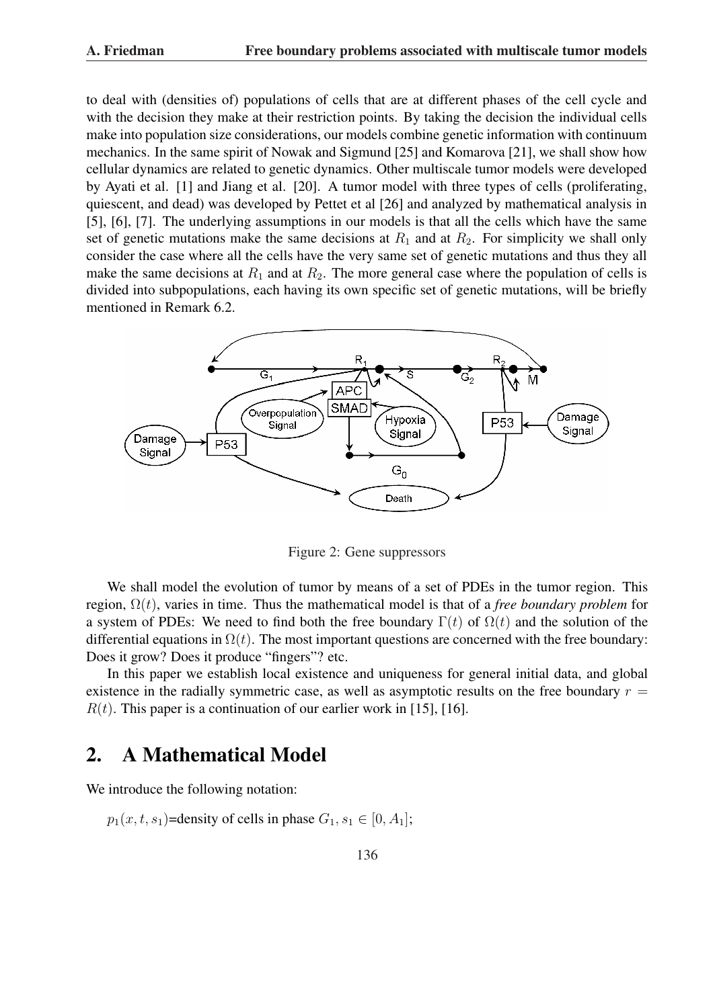to deal with (densities of) populations of cells that are at different phases of the cell cycle and with the decision they make at their restriction points. By taking the decision the individual cells make into population size considerations, our models combine genetic information with continuum mechanics. In the same spirit of Nowak and Sigmund [25] and Komarova [21], we shall show how cellular dynamics are related to genetic dynamics. Other multiscale tumor models were developed by Ayati et al. [1] and Jiang et al. [20]. A tumor model with three types of cells (proliferating, quiescent, and dead) was developed by Pettet et al [26] and analyzed by mathematical analysis in [5], [6], [7]. The underlying assumptions in our models is that all the cells which have the same set of genetic mutations make the same decisions at  $R_1$  and at  $R_2$ . For simplicity we shall only consider the case where all the cells have the very same set of genetic mutations and thus they all make the same decisions at  $R_1$  and at  $R_2$ . The more general case where the population of cells is divided into subpopulations, each having its own specific set of genetic mutations, will be briefly mentioned in Remark 6.2.



Figure 2: Gene suppressors

We shall model the evolution of tumor by means of a set of PDEs in the tumor region. This region, Ω(t), varies in time. Thus the mathematical model is that of a *free boundary problem* for a system of PDEs: We need to find both the free boundary  $\Gamma(t)$  of  $\Omega(t)$  and the solution of the differential equations in  $\Omega(t)$ . The most important questions are concerned with the free boundary: Does it grow? Does it produce "fingers"? etc.

In this paper we establish local existence and uniqueness for general initial data, and global existence in the radially symmetric case, as well as asymptotic results on the free boundary  $r =$  $R(t)$ . This paper is a continuation of our earlier work in [15], [16].

# 2. A Mathematical Model

We introduce the following notation:

 $p_1(x, t, s_1)$ =density of cells in phase  $G_1, s_1 \in [0, A_1]$ ;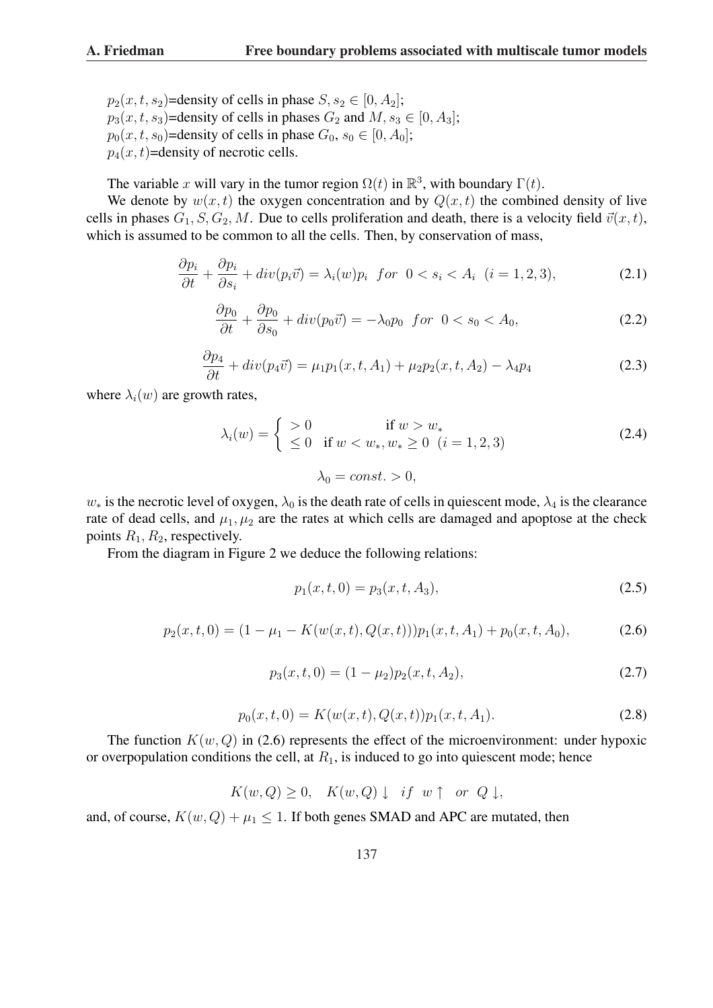$p_2(x, t, s_2)$ =density of cells in phase  $S, s_2 \in [0, A_2]$ ;  $p_3(x, t, s_3)$ =density of cells in phases  $G_2$  and  $M, s_3 \in [0, A_3]$ ;  $p_0(x, t, s_0)$ =density of cells in phase  $G_0, s_0 \in [0, A_0]$ ;  $p_4(x, t)$ =density of necrotic cells.

The variable x will vary in the tumor region  $\Omega(t)$  in  $\mathbb{R}^3$ , with boundary  $\Gamma(t)$ .

We denote by  $w(x, t)$  the oxygen concentration and by  $Q(x, t)$  the combined density of live cells in phases  $G_1, S, G_2, M$ . Due to cells proliferation and death, there is a velocity field  $\vec{v}(x, t)$ , which is assumed to be common to all the cells. Then, by conservation of mass,

$$
\frac{\partial p_i}{\partial t} + \frac{\partial p_i}{\partial s_i} + div(p_i \vec{v}) = \lambda_i(w)p_i \text{ for } 0 < s_i < A_i \ (i = 1, 2, 3), \tag{2.1}
$$

$$
\frac{\partial p_0}{\partial t} + \frac{\partial p_0}{\partial s_0} + div(p_0 \vec{v}) = -\lambda_0 p_0 \quad \text{for} \quad 0 < s_0 < A_0,\tag{2.2}
$$

$$
\frac{\partial p_4}{\partial t} + div(p_4 \vec{v}) = \mu_1 p_1(x, t, A_1) + \mu_2 p_2(x, t, A_2) - \lambda_4 p_4
$$
\n(2.3)

where  $\lambda_i(w)$  are growth rates,

$$
\lambda_i(w) = \begin{cases}\n> 0 & \text{if } w > w_* \\
\leq 0 & \text{if } w < w_*, w_* \geq 0 \ (i = 1, 2, 3) \\
\lambda_0 = const. > 0,\n\end{cases} \tag{2.4}
$$

 $w_*$  is the necrotic level of oxygen,  $\lambda_0$  is the death rate of cells in quiescent mode,  $\lambda_4$  is the clearance rate of dead cells, and  $\mu_1, \mu_2$  are the rates at which cells are damaged and apoptose at the check points  $R_1, R_2$ , respectively.

From the diagram in Figure 2 we deduce the following relations:

$$
p_1(x, t, 0) = p_3(x, t, A_3),
$$
\n(2.5)

$$
p_2(x,t,0) = (1 - \mu_1 - K(w(x,t), Q(x,t)))p_1(x,t,A_1) + p_0(x,t,A_0),
$$
\n(2.6)

$$
p_3(x,t,0) = (1 - \mu_2)p_2(x,t,A_2),
$$
\n(2.7)

$$
p_0(x, t, 0) = K(w(x, t), Q(x, t)) p_1(x, t, A_1).
$$
\n(2.8)

The function  $K(w, Q)$  in (2.6) represents the effect of the microenvironment: under hypoxic or overpopulation conditions the cell, at  $R_1$ , is induced to go into quiescent mode; hence

$$
K(w, Q) \ge 0, \quad K(w, Q) \downarrow \quad \text{if} \quad w \uparrow \quad \text{or} \quad Q \downarrow,
$$

and, of course,  $K(w, Q) + \mu_1 \leq 1$ . If both genes SMAD and APC are mutated, then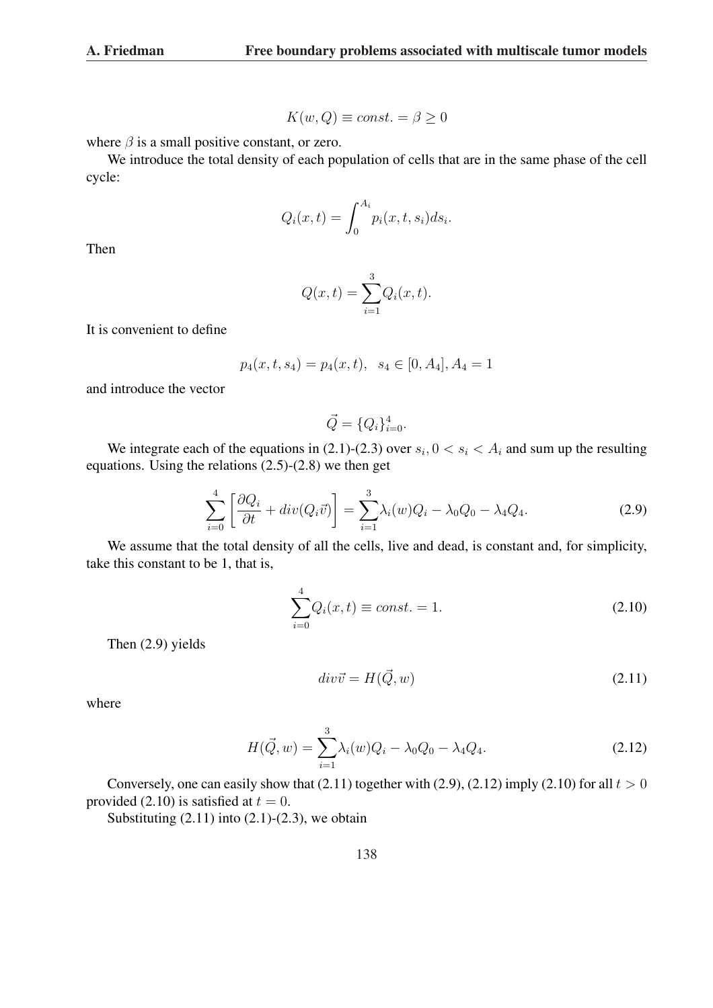$$
K(w, Q) \equiv const. = \beta \ge 0
$$

where  $\beta$  is a small positive constant, or zero.

We introduce the total density of each population of cells that are in the same phase of the cell cycle:

$$
Q_i(x,t) = \int_0^{A_i} p_i(x,t,s_i)ds_i.
$$

Then

$$
Q(x,t) = \sum_{i=1}^{3} Q_i(x,t).
$$

It is convenient to define

$$
p_4(x, t, s_4) = p_4(x, t), \ \ s_4 \in [0, A_4], A_4 = 1
$$

and introduce the vector

$$
\vec{Q} = \{Q_i\}_{i=0}^4.
$$

We integrate each of the equations in (2.1)-(2.3) over  $s_i$ ,  $0 < s_i < A_i$  and sum up the resulting equations. Using the relations (2.5)-(2.8) we then get

$$
\sum_{i=0}^{4} \left[ \frac{\partial Q_i}{\partial t} + div(Q_i \vec{v}) \right] = \sum_{i=1}^{3} \lambda_i(w) Q_i - \lambda_0 Q_0 - \lambda_4 Q_4.
$$
 (2.9)

We assume that the total density of all the cells, live and dead, is constant and, for simplicity, take this constant to be 1, that is,

 $\overline{4}$ 

$$
\sum_{i=0}^{4} Q_i(x, t) \equiv const. = 1.
$$
 (2.10)

Then (2.9) yields

$$
div\vec{v} = H(\vec{Q}, w) \tag{2.11}
$$

where

$$
H(\vec{Q}, w) = \sum_{i=1}^{3} \lambda_i(w) Q_i - \lambda_0 Q_0 - \lambda_4 Q_4.
$$
 (2.12)

Conversely, one can easily show that  $(2.11)$  together with  $(2.9)$ ,  $(2.12)$  imply  $(2.10)$  for all  $t > 0$ provided (2.10) is satisfied at  $t = 0$ .

Substituting  $(2.11)$  into  $(2.1)-(2.3)$ , we obtain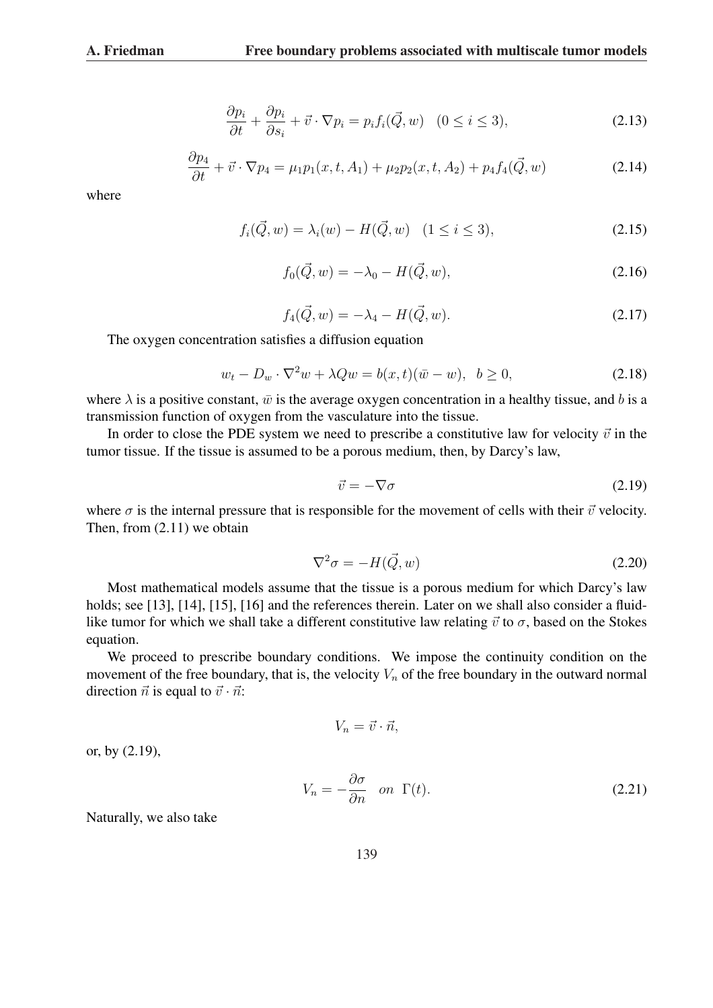$$
\frac{\partial p_i}{\partial t} + \frac{\partial p_i}{\partial s_i} + \vec{v} \cdot \nabla p_i = p_i f_i(\vec{Q}, w) \quad (0 \le i \le 3), \tag{2.13}
$$

$$
\frac{\partial p_4}{\partial t} + \vec{v} \cdot \nabla p_4 = \mu_1 p_1(x, t, A_1) + \mu_2 p_2(x, t, A_2) + p_4 f_4(\vec{Q}, w)
$$
\n(2.14)

where

$$
f_i(\vec{Q}, w) = \lambda_i(w) - H(\vec{Q}, w) \quad (1 \le i \le 3), \tag{2.15}
$$

$$
f_0(\vec{Q}, w) = -\lambda_0 - H(\vec{Q}, w), \qquad (2.16)
$$

$$
f_4(\vec{Q}, w) = -\lambda_4 - H(\vec{Q}, w). \tag{2.17}
$$

The oxygen concentration satisfies a diffusion equation

$$
w_t - D_w \cdot \nabla^2 w + \lambda Q w = b(x, t)(\bar{w} - w), \quad b \ge 0,
$$
\n(2.18)

where  $\lambda$  is a positive constant,  $\bar{w}$  is the average oxygen concentration in a healthy tissue, and b is a transmission function of oxygen from the vasculature into the tissue.

In order to close the PDE system we need to prescribe a constitutive law for velocity  $\vec{v}$  in the tumor tissue. If the tissue is assumed to be a porous medium, then, by Darcy's law,

$$
\vec{v} = -\nabla\sigma\tag{2.19}
$$

where  $\sigma$  is the internal pressure that is responsible for the movement of cells with their  $\vec{v}$  velocity. Then, from (2.11) we obtain

$$
\nabla^2 \sigma = -H(\vec{Q}, w) \tag{2.20}
$$

Most mathematical models assume that the tissue is a porous medium for which Darcy's law holds; see [13], [14], [15], [16] and the references therein. Later on we shall also consider a fluidlike tumor for which we shall take a different constitutive law relating  $\vec{v}$  to  $\sigma$ , based on the Stokes equation.

We proceed to prescribe boundary conditions. We impose the continuity condition on the movement of the free boundary, that is, the velocity  $V_n$  of the free boundary in the outward normal direction  $\vec{n}$  is equal to  $\vec{v} \cdot \vec{n}$ :

$$
V_n = \vec{v} \cdot \vec{n},
$$

or, by (2.19),

$$
V_n = -\frac{\partial \sigma}{\partial n} \quad on \quad \Gamma(t). \tag{2.21}
$$

Naturally, we also take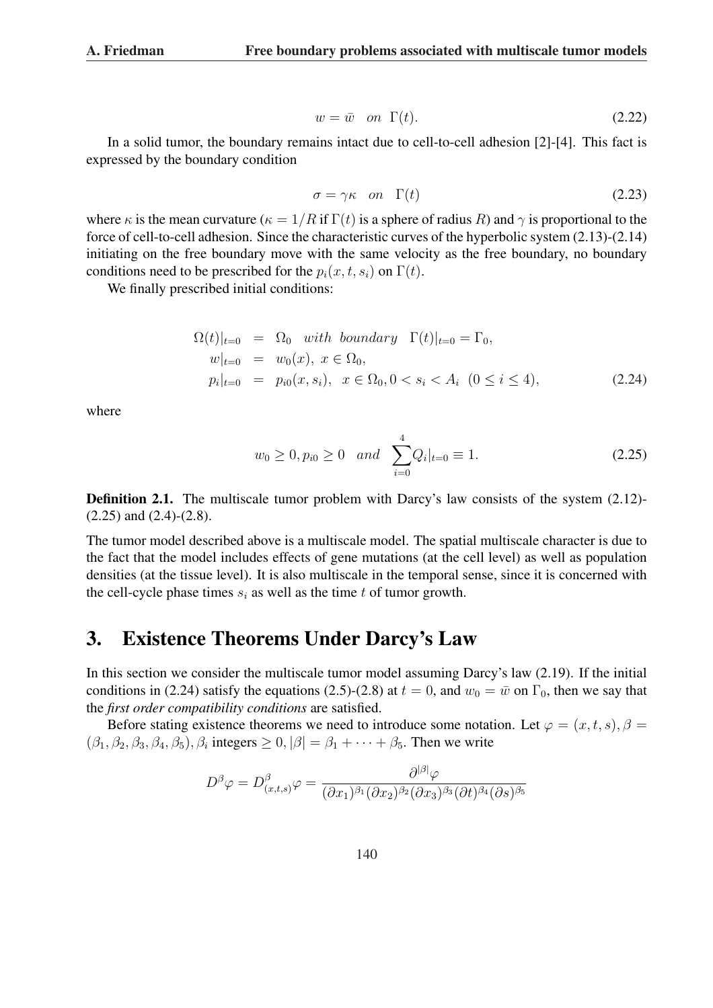$$
w = \bar{w} \quad on \quad \Gamma(t). \tag{2.22}
$$

In a solid tumor, the boundary remains intact due to cell-to-cell adhesion [2]-[4]. This fact is expressed by the boundary condition

$$
\sigma = \gamma \kappa \quad on \quad \Gamma(t) \tag{2.23}
$$

where  $\kappa$  is the mean curvature ( $\kappa = 1/R$  if  $\Gamma(t)$  is a sphere of radius R) and  $\gamma$  is proportional to the force of cell-to-cell adhesion. Since the characteristic curves of the hyperbolic system (2.13)-(2.14) initiating on the free boundary move with the same velocity as the free boundary, no boundary conditions need to be prescribed for the  $p_i(x, t, s_i)$  on  $\Gamma(t)$ .

We finally prescribed initial conditions:

$$
\Omega(t)|_{t=0} = \Omega_0 \text{ with boundary } \Gamma(t)|_{t=0} = \Gamma_0,
$$
  
\n
$$
w|_{t=0} = w_0(x), x \in \Omega_0,
$$
  
\n
$$
p_i|_{t=0} = p_{i0}(x, s_i), x \in \Omega_0, 0 < s_i < A_i \ (0 \le i \le 4),
$$
\n(2.24)

where

$$
w_0 \ge 0
$$
,  $p_{i0} \ge 0$  and  $\sum_{i=0}^{4} Q_i|_{t=0} \equiv 1.$  (2.25)

**Definition 2.1.** The multiscale tumor problem with Darcy's law consists of the system (2.12)-(2.25) and (2.4)-(2.8).

The tumor model described above is a multiscale model. The spatial multiscale character is due to the fact that the model includes effects of gene mutations (at the cell level) as well as population densities (at the tissue level). It is also multiscale in the temporal sense, since it is concerned with the cell-cycle phase times  $s_i$  as well as the time t of tumor growth.

# 3. Existence Theorems Under Darcy's Law

In this section we consider the multiscale tumor model assuming Darcy's law (2.19). If the initial conditions in (2.24) satisfy the equations (2.5)-(2.8) at  $t = 0$ , and  $w_0 = \bar{w}$  on  $\Gamma_0$ , then we say that the *first order compatibility conditions* are satisfied.

Before stating existence theorems we need to introduce some notation. Let  $\varphi = (x, t, s), \beta =$  $(\beta_1, \beta_2, \beta_3, \beta_4, \beta_5), \beta_i$  integers  $\geq 0, |\beta| = \beta_1 + \cdots + \beta_5$ . Then we write

$$
D^{\beta}\varphi = D^{\beta}_{(x,t,s)}\varphi = \frac{\partial^{|\beta|}\varphi}{(\partial x_1)^{\beta_1}(\partial x_2)^{\beta_2}(\partial x_3)^{\beta_3}(\partial t)^{\beta_4}(\partial s)^{\beta_5}}
$$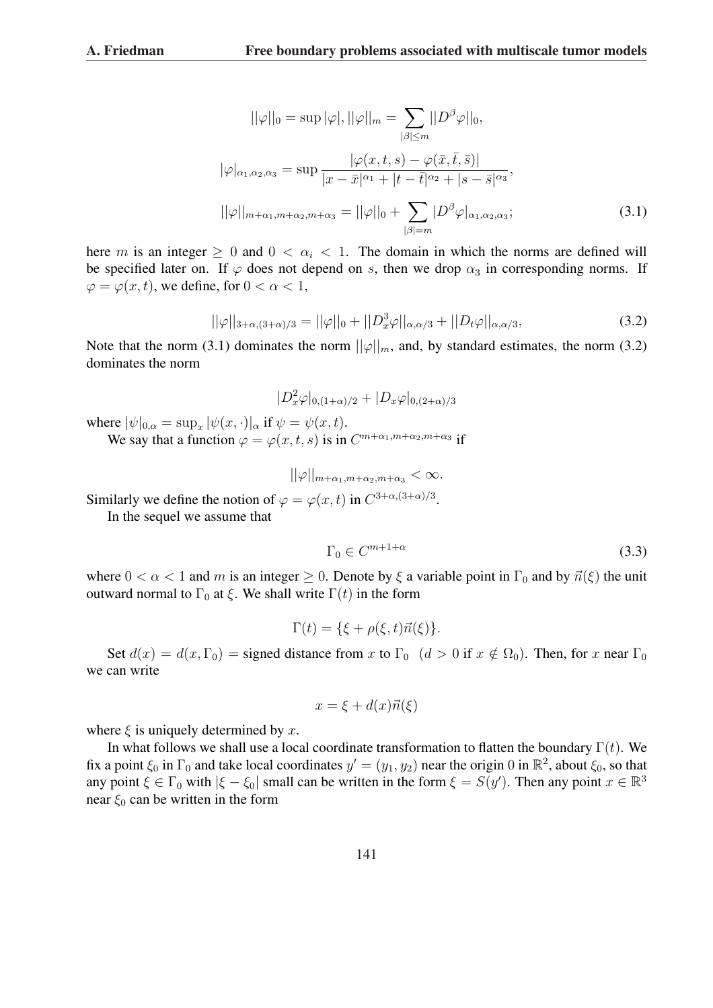$$
||\varphi||_0 = \sup |\varphi|, ||\varphi||_m = \sum_{|\beta| \le m} ||D^{\beta}\varphi||_0,
$$
  

$$
|\varphi|_{\alpha_1, \alpha_2, \alpha_3} = \sup \frac{|\varphi(x, t, s) - \varphi(\bar{x}, \bar{t}, \bar{s})|}{|x - \bar{x}|^{\alpha_1} + |t - \bar{t}|^{\alpha_2} + |s - \bar{s}|^{\alpha_3}},
$$
  

$$
||\varphi||_{m + \alpha_1, m + \alpha_2, m + \alpha_3} = ||\varphi||_0 + \sum_{|\beta| = m} |D^{\beta}\varphi|_{\alpha_1, \alpha_2, \alpha_3};
$$
\n(3.1)

here m is an integer  $\geq 0$  and  $0 < \alpha_i < 1$ . The domain in which the norms are defined will be specified later on. If  $\varphi$  does not depend on s, then we drop  $\alpha_3$  in corresponding norms. If  $\varphi = \varphi(x, t)$ , we define, for  $0 < \alpha < 1$ ,

$$
||\varphi||_{3+\alpha,(3+\alpha)/3} = ||\varphi||_0 + ||D_x^3\varphi||_{\alpha,\alpha/3} + ||D_t\varphi||_{\alpha,\alpha/3},
$$
\n(3.2)

Note that the norm (3.1) dominates the norm  $||\varphi||_m$ , and, by standard estimates, the norm (3.2) dominates the norm

$$
|D_x^2 \varphi|_{0,(1+\alpha)/2} + |D_x \varphi|_{0,(2+\alpha)/3}
$$

where  $|\psi|_{0,\alpha} = \sup_x |\psi(x,\cdot)|_{\alpha}$  if  $\psi = \psi(x,t)$ .

We say that a function  $\varphi = \varphi(x, t, s)$  is in  $C^{m+\alpha_1, m+\alpha_2, m+\alpha_3}$  if

$$
||\varphi||_{m+\alpha_1,m+\alpha_2,m+\alpha_3} < \infty.
$$

Similarly we define the notion of  $\varphi = \varphi(x, t)$  in  $C^{3+\alpha/(3+\alpha)/3}$ .

In the sequel we assume that

$$
\Gamma_0 \in C^{m+1+\alpha} \tag{3.3}
$$

where  $0 < \alpha < 1$  and m is an integer  $\geq 0$ . Denote by  $\xi$  a variable point in  $\Gamma_0$  and by  $\vec{n}(\xi)$  the unit outward normal to  $\Gamma_0$  at  $\xi$ . We shall write  $\Gamma(t)$  in the form

$$
\Gamma(t) = \{\xi + \rho(\xi, t)\vec{n}(\xi)\}.
$$

Set  $d(x) = d(x, \Gamma_0)$  = signed distance from x to  $\Gamma_0$   $(d > 0$  if  $x \notin \Omega_0$ ). Then, for x near  $\Gamma_0$ we can write

$$
x = \xi + d(x)\vec{n}(\xi)
$$

where  $\xi$  is uniquely determined by x.

In what follows we shall use a local coordinate transformation to flatten the boundary  $\Gamma(t)$ . We fix a point  $\xi_0$  in  $\Gamma_0$  and take local coordinates  $y' = (y_1, y_2)$  near the origin 0 in  $\mathbb{R}^2$ , about  $\xi_0$ , so that any point  $\xi \in \Gamma_0$  with  $|\xi - \xi_0|$  small can be written in the form  $\xi = S(y')$ . Then any point  $x \in \mathbb{R}^3$ near  $\xi_0$  can be written in the form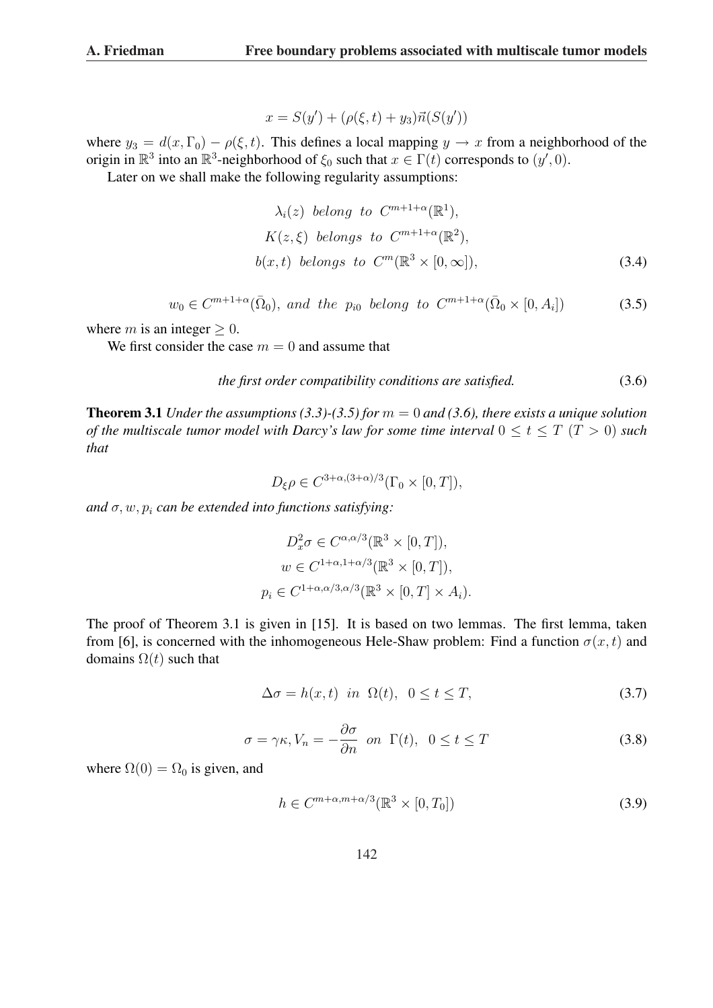$$
x = S(y') + (\rho(\xi, t) + y_3)\vec{n}(S(y'))
$$

where  $y_3 = d(x, \Gamma_0) - \rho(\xi, t)$ . This defines a local mapping  $y \to x$  from a neighborhood of the origin in  $\mathbb{R}^3$  into an  $\mathbb{R}^3$ -neighborhood of  $\xi_0$  such that  $x \in \Gamma(t)$  corresponds to  $(y', 0)$ .

Later on we shall make the following regularity assumptions:

$$
\lambda_i(z) \text{ belong to } C^{m+1+\alpha}(\mathbb{R}^1),
$$
  
\n
$$
K(z,\xi) \text{ belongs to } C^{m+1+\alpha}(\mathbb{R}^2),
$$
  
\n
$$
b(x,t) \text{ belongs to } C^m(\mathbb{R}^3 \times [0,\infty]),
$$
\n(3.4)

$$
w_0 \in C^{m+1+\alpha}(\bar{\Omega}_0)
$$
, and the  $p_{i0}$  belong to  $C^{m+1+\alpha}(\bar{\Omega}_0 \times [0, A_i])$  (3.5)

where *m* is an integer  $\geq 0$ .

We first consider the case  $m = 0$  and assume that

$$
the first order compatibility conditions are satisfied. \tag{3.6}
$$

**Theorem 3.1** *Under the assumptions (3.3)-(3.5) for*  $m = 0$  *and (3.6), there exists a unique solution of the multiscale tumor model with Darcy's law for some time interval*  $0 \le t \le T$  ( $T > 0$ ) *such that*

$$
D_{\xi}\rho \in C^{3+\alpha,(3+\alpha)/3}(\Gamma_0\times[0,T]),
$$

and  $\sigma$ ,  $w$ ,  $p_i$  *can be extended into functions satisfying*:

$$
D_x^2 \sigma \in C^{\alpha, \alpha/3}(\mathbb{R}^3 \times [0, T]),
$$
  
\n
$$
w \in C^{1+\alpha, 1+\alpha/3}(\mathbb{R}^3 \times [0, T]),
$$
  
\n
$$
p_i \in C^{1+\alpha, \alpha/3, \alpha/3}(\mathbb{R}^3 \times [0, T] \times A_i).
$$

The proof of Theorem 3.1 is given in [15]. It is based on two lemmas. The first lemma, taken from [6], is concerned with the inhomogeneous Hele-Shaw problem: Find a function  $\sigma(x, t)$  and domains  $\Omega(t)$  such that

$$
\Delta \sigma = h(x, t) \text{ in } \Omega(t), \quad 0 \le t \le T,
$$
\n(3.7)

$$
\sigma = \gamma \kappa, V_n = -\frac{\partial \sigma}{\partial n} \quad \text{on} \quad \Gamma(t), \quad 0 \le t \le T \tag{3.8}
$$

where  $\Omega(0) = \Omega_0$  is given, and

$$
h \in C^{m+\alpha, m+\alpha/3}(\mathbb{R}^3 \times [0, T_0])
$$
\n(3.9)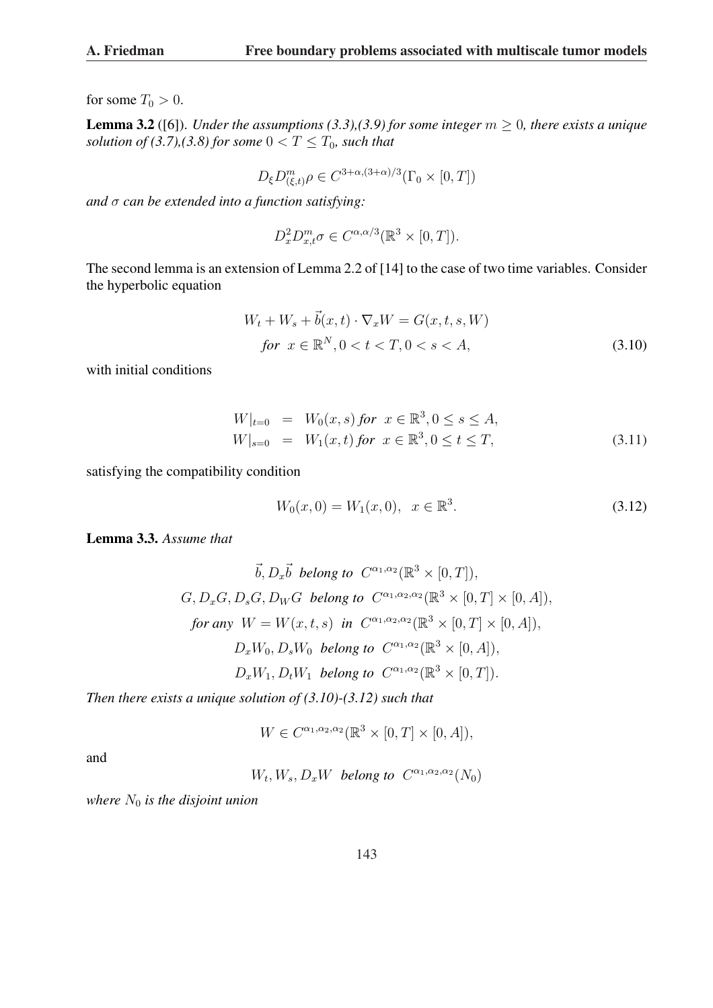for some  $T_0 > 0$ .

**Lemma 3.2** ([6]). *Under the assumptions (3.3),(3.9) for some integer*  $m \geq 0$ *, there exists a unique solution of (3.7),(3.8) for some*  $0 < T \leq T_0$ *, such that* 

$$
D_{\xi}D_{(\xi,t)}^m \rho \in C^{3+\alpha,(3+\alpha)/3}(\Gamma_0 \times [0,T])
$$

*and* σ *can be extended into a function satisfying:*

$$
D_x^2 D_{x,t}^m \sigma \in C^{\alpha,\alpha/3}(\mathbb{R}^3 \times [0,T]).
$$

The second lemma is an extension of Lemma 2.2 of [14] to the case of two time variables. Consider the hyperbolic equation

$$
W_t + W_s + \vec{b}(x, t) \cdot \nabla_x W = G(x, t, s, W)
$$
  
for  $x \in \mathbb{R}^N$ ,  $0 < t < T$ ,  $0 < s < A$ , (3.10)

with initial conditions

$$
W|_{t=0} = W_0(x, s) \text{ for } x \in \mathbb{R}^3, 0 \le s \le A,
$$
  
\n
$$
W|_{s=0} = W_1(x, t) \text{ for } x \in \mathbb{R}^3, 0 \le t \le T,
$$
\n(3.11)

satisfying the compatibility condition

$$
W_0(x,0) = W_1(x,0), \quad x \in \mathbb{R}^3. \tag{3.12}
$$

Lemma 3.3. *Assume that*

$$
\vec{b}, D_x \vec{b} \text{ belong to } C^{\alpha_1, \alpha_2}(\mathbb{R}^3 \times [0, T]),
$$
  

$$
G, D_x G, D_s G, D_W G \text{ belong to } C^{\alpha_1, \alpha_2, \alpha_2}(\mathbb{R}^3 \times [0, T] \times [0, A]),
$$
  
for any  $W = W(x, t, s)$  in  $C^{\alpha_1, \alpha_2, \alpha_2}(\mathbb{R}^3 \times [0, T] \times [0, A]),$   

$$
D_x W_0, D_s W_0 \text{ belong to } C^{\alpha_1, \alpha_2}(\mathbb{R}^3 \times [0, A]),
$$
  

$$
D_x W_1, D_t W_1 \text{ belong to } C^{\alpha_1, \alpha_2}(\mathbb{R}^3 \times [0, T]).
$$

*Then there exists a unique solution of (3.10)-(3.12) such that*

$$
W \in C^{\alpha_1, \alpha_2, \alpha_2}(\mathbb{R}^3 \times [0, T] \times [0, A]),
$$

and

 $W_t, W_s, D_xW$  *belong to*  $C^{\alpha_1, \alpha_2, \alpha_2}(N_0)$ 

*where*  $N_0$  *is the disjoint union*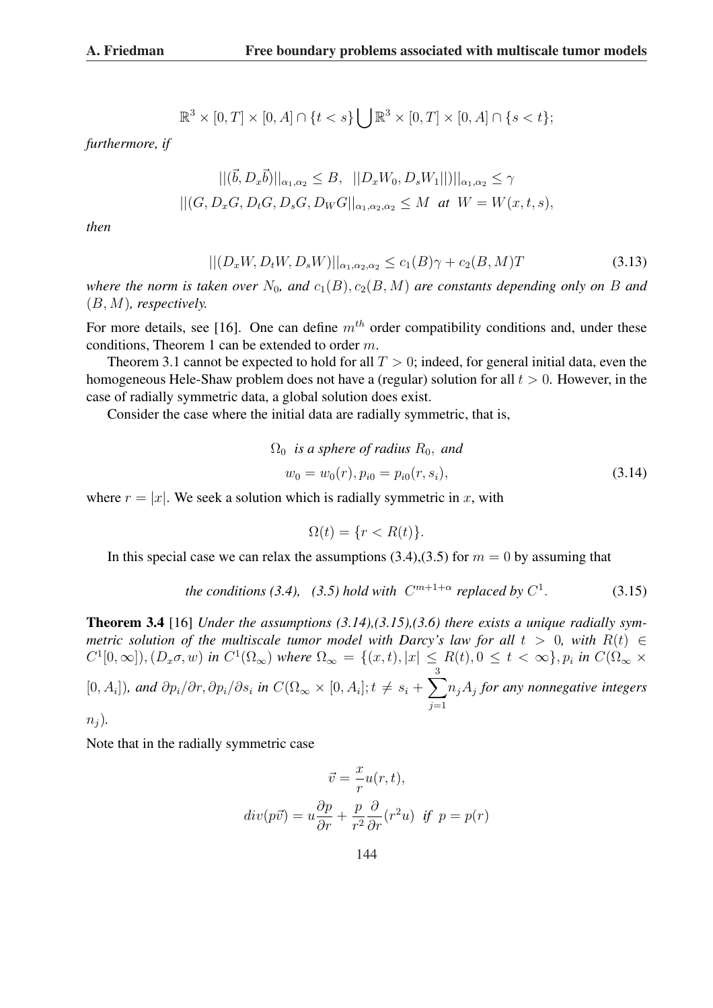$$
\mathbb{R}^3 \times [0,T] \times [0,A] \cap \{t < s\} \bigcup \mathbb{R}^3 \times [0,T] \times [0,A] \cap \{s < t\};
$$

*furthermore, if*

$$
||(\vec{b}, D_x \vec{b})||_{\alpha_1, \alpha_2} \leq B, \quad ||D_x W_0, D_s W_1||)||_{\alpha_1, \alpha_2} \leq \gamma
$$
  
 
$$
||(G, D_x G, D_t G, D_s G, D_W G||_{\alpha_1, \alpha_2, \alpha_2} \leq M \text{ at } W = W(x, t, s),
$$

*then*

$$
||(D_xW, D_tW, D_sW)||_{\alpha_1, \alpha_2, \alpha_2} \le c_1(B)\gamma + c_2(B, M)T
$$
\n(3.13)

*where the norm is taken over*  $N_0$ , and  $c_1(B)$ ,  $c_2(B, M)$  *are constants depending only on* B and (B, M)*, respectively.*

For more details, see [16]. One can define  $m<sup>th</sup>$  order compatibility conditions and, under these conditions, Theorem 1 can be extended to order m.

Theorem 3.1 cannot be expected to hold for all  $T > 0$ ; indeed, for general initial data, even the homogeneous Hele-Shaw problem does not have a (regular) solution for all  $t > 0$ . However, in the case of radially symmetric data, a global solution does exist.

Consider the case where the initial data are radially symmetric, that is,

$$
\Omega_0 \text{ is a sphere of radius } R_0, \text{ and}
$$
  

$$
w_0 = w_0(r), p_{i0} = p_{i0}(r, s_i),
$$
 (3.14)

where  $r = |x|$ . We seek a solution which is radially symmetric in x, with

$$
\Omega(t) = \{r < R(t)\}.
$$

In this special case we can relax the assumptions (3.4),(3.5) for  $m = 0$  by assuming that

the conditions (3.4), (3.5) hold with 
$$
C^{m+1+\alpha}
$$
 replaced by  $C^1$ . (3.15)

Theorem 3.4 [16] *Under the assumptions (3.14),(3.15),(3.6) there exists a unique radially symmetric solution of the multiscale tumor model with Darcy's law for all*  $t > 0$ *, with*  $R(t) \in$  $C^1[0,\infty]$ ),  $(D_x\sigma,w)$  in  $C^1(\Omega_{\infty})$  where  $\Omega_{\infty} = \{(x,t), |x| \le R(t), 0 \le t < \infty\}$ ,  $p_i$  in  $C(\Omega_{\infty} \times$ 

 $[0, A_i]$ ), and  $\partial p_i/\partial r$ ,  $\partial p_i/\partial s_i$  in  $C(\Omega_{\infty} \times [0, A_i]; t \neq s_i + \Omega_{\infty}$  $\frac{3}{2}$  $j=1$ njA<sup>j</sup> *for any nonnegative integers*

 $n_i$ ).

Note that in the radially symmetric case

$$
\vec{v} = -\frac{x}{r}u(r, t),
$$

$$
div(p\vec{v}) = u\frac{\partial p}{\partial r} + \frac{p}{r^2}\frac{\partial}{\partial r}(r^2u) \text{ if } p = p(r)
$$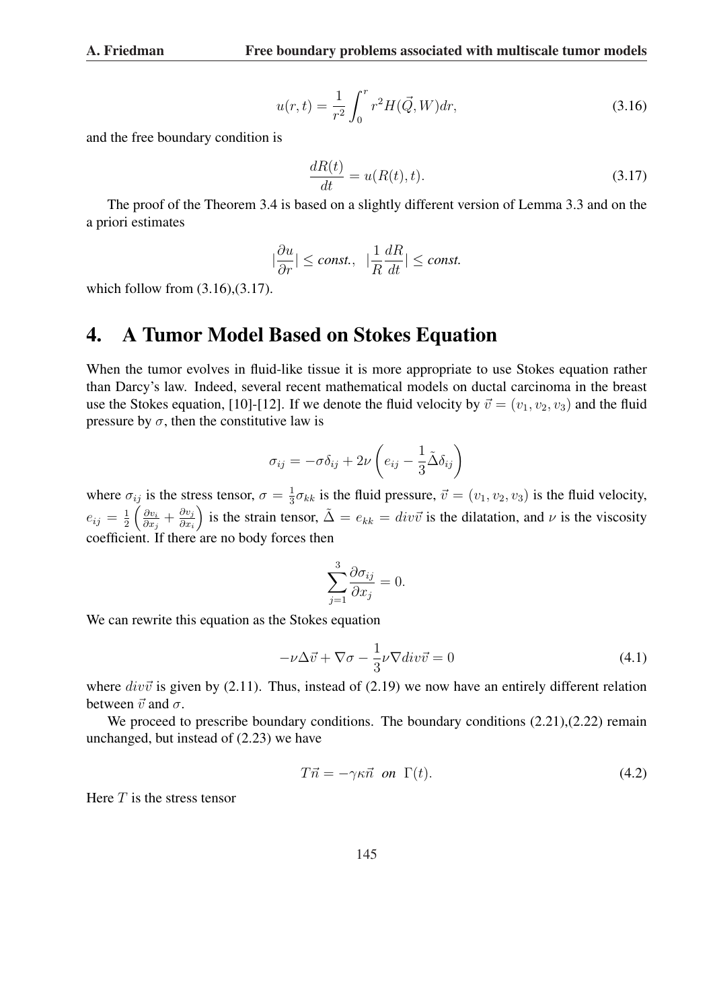$$
u(r,t) = \frac{1}{r^2} \int_0^r r^2 H(\vec{Q}, W) dr,
$$
\n(3.16)

and the free boundary condition is

$$
\frac{dR(t)}{dt} = u(R(t), t). \tag{3.17}
$$

The proof of the Theorem 3.4 is based on a slightly different version of Lemma 3.3 and on the a priori estimates

$$
|\frac{\partial u}{\partial r}| \le \text{const.}, \ \ |\frac{1}{R}\frac{dR}{dt}| \le \text{const.}
$$

which follow from  $(3.16)$ , $(3.17)$ .

### 4. A Tumor Model Based on Stokes Equation

When the tumor evolves in fluid-like tissue it is more appropriate to use Stokes equation rather than Darcy's law. Indeed, several recent mathematical models on ductal carcinoma in the breast use the Stokes equation, [10]-[12]. If we denote the fluid velocity by  $\vec{v} = (v_1, v_2, v_3)$  and the fluid pressure by  $\sigma$ , then the constitutive law is

$$
\sigma_{ij} = -\sigma \delta_{ij} + 2\nu \left( e_{ij} - \frac{1}{3} \tilde{\Delta} \delta_{ij} \right)
$$

where  $\sigma_{ij}$  is the stress tensor,  $\sigma = \frac{1}{3}$ ij is the stress tensor,  $\sigma = \frac{1}{3}\sigma_{kk}$  is the fluid pressure,  $\vec{v} = (v_1, v_2, v_3)$  is the fluid velocity,  $e_{ij} = \frac{1}{2}$ 2  $\partial v_i$  $\frac{\partial v_i}{\partial x_j} + \frac{\partial v_j}{\partial x_i}$  $\frac{\partial v_j}{\partial x_i}$  is the strain tensor,  $\tilde{\Delta} = e_{kk} = div \vec{v}$  is the dilatation, and  $\nu$  is the viscosity coefficient. If there are no body forces then

$$
\sum_{j=1}^{3} \frac{\partial \sigma_{ij}}{\partial x_j} = 0.
$$

We can rewrite this equation as the Stokes equation

$$
-\nu\Delta \vec{v} + \nabla \sigma - \frac{1}{3}\nu \nabla \text{div}\vec{v} = 0 \tag{4.1}
$$

where  $div\vec{v}$  is given by (2.11). Thus, instead of (2.19) we now have an entirely different relation between  $\vec{v}$  and  $\sigma$ .

We proceed to prescribe boundary conditions. The boundary conditions  $(2.21),(2.22)$  remain unchanged, but instead of (2.23) we have

$$
T\vec{n} = -\gamma \kappa \vec{n} \quad on \quad \Gamma(t). \tag{4.2}
$$

Here  $T$  is the stress tensor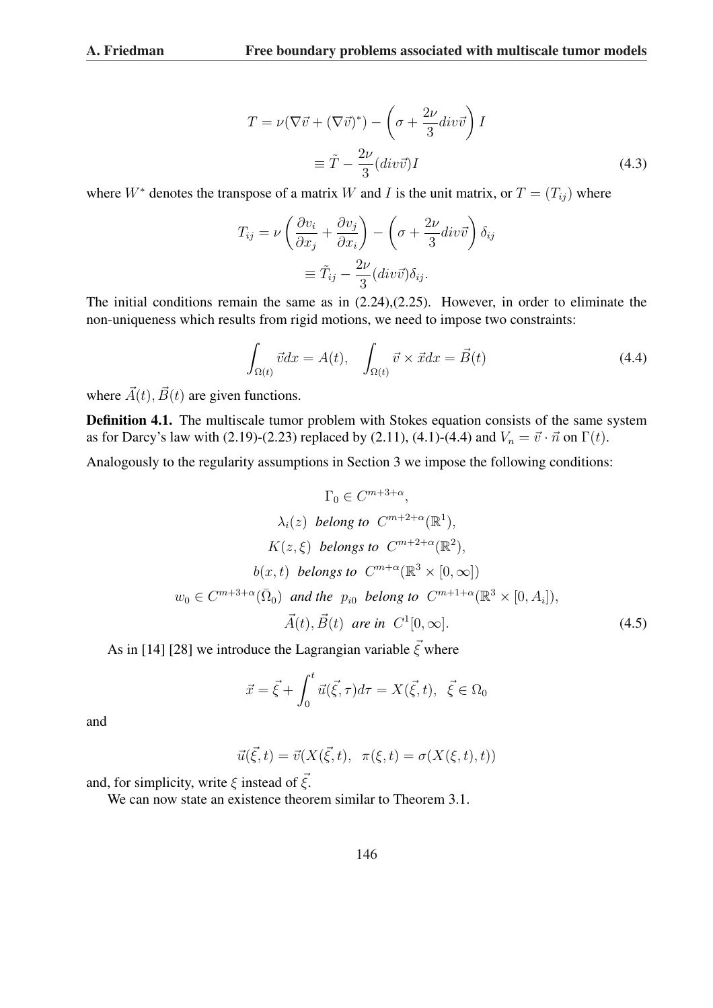$$
T = \nu (\nabla \vec{v} + (\nabla \vec{v})^*) - \left(\sigma + \frac{2\nu}{3} \operatorname{div} \vec{v}\right) I
$$
  

$$
\equiv \tilde{T} - \frac{2\nu}{3} (\operatorname{div} \vec{v}) I
$$
 (4.3)

where  $W^*$  denotes the transpose of a matrix W and I is the unit matrix, or  $T = (T_{ij})$  where

$$
T_{ij} = \nu \left( \frac{\partial v_i}{\partial x_j} + \frac{\partial v_j}{\partial x_i} \right) - \left( \sigma + \frac{2\nu}{3} \operatorname{div} \vec{v} \right) \delta_{ij}
$$

$$
\equiv \tilde{T}_{ij} - \frac{2\nu}{3} (\operatorname{div} \vec{v}) \delta_{ij}.
$$

The initial conditions remain the same as in (2.24),(2.25). However, in order to eliminate the non-uniqueness which results from rigid motions, we need to impose two constraints:

$$
\int_{\Omega(t)} \vec{v} dx = A(t), \quad \int_{\Omega(t)} \vec{v} \times \vec{x} dx = \vec{B}(t)
$$
\n(4.4)

where  $\vec{A}(t)$ ,  $\vec{B}(t)$  are given functions.

Definition 4.1. The multiscale tumor problem with Stokes equation consists of the same system as for Darcy's law with (2.19)-(2.23) replaced by (2.11), (4.1)-(4.4) and  $V_n = \vec{v} \cdot \vec{n}$  on  $\Gamma(t)$ .

Analogously to the regularity assumptions in Section 3 we impose the following conditions:

$$
\Gamma_0 \in C^{m+3+\alpha},
$$
  
\n
$$
\lambda_i(z) \text{ belong to } C^{m+2+\alpha}(\mathbb{R}^1),
$$
  
\n
$$
K(z,\xi) \text{ belongs to } C^{m+2+\alpha}(\mathbb{R}^2),
$$
  
\n
$$
b(x,t) \text{ belongs to } C^{m+\alpha}(\mathbb{R}^3 \times [0,\infty])
$$
  
\n
$$
w_0 \in C^{m+3+\alpha}(\bar{\Omega}_0) \text{ and the } p_{i0} \text{ belong to } C^{m+1+\alpha}(\mathbb{R}^3 \times [0,A_i]),
$$
  
\n
$$
\vec{A}(t), \vec{B}(t) \text{ are in } C^1[0,\infty].
$$
\n(4.5)

As in [14] [28] we introduce the Lagrangian variable  $\vec{\xi}$  where

$$
\vec{x} = \vec{\xi} + \int_0^t \vec{u}(\vec{\xi}, \tau) d\tau = X(\vec{\xi}, t), \ \vec{\xi} \in \Omega_0
$$

and

$$
\vec{u}(\vec{\xi},t) = \vec{v}(X(\vec{\xi},t), \ \pi(\xi,t) = \sigma(X(\xi,t),t))
$$

and, for simplicity, write  $\xi$  instead of  $\vec{\xi}$ .

We can now state an existence theorem similar to Theorem 3.1.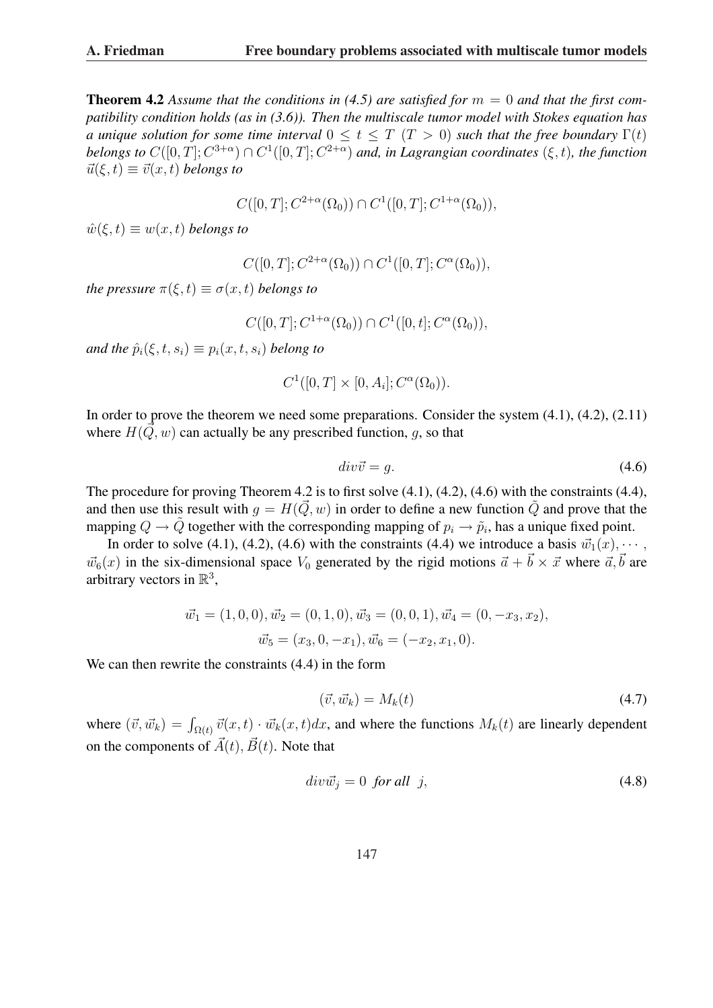**Theorem 4.2** Assume that the conditions in (4.5) are satisfied for  $m = 0$  and that the first com*patibility condition holds (as in (3.6)). Then the multiscale tumor model with Stokes equation has a unique solution for some time interval*  $0 \le t \le T$   $(T > 0)$  *such that the free boundary*  $\Gamma(t)$ *belongs to*  $C([0,T]; C^{3+\alpha}) \cap C^1([0,T]; C^{2+\alpha})$  and, in Lagrangian coordinates  $(\xi, t)$ , the function  $\vec{u}(\xi, t) \equiv \vec{v}(x, t)$  *belongs to* 

$$
C([0,T]; C^{2+\alpha}(\Omega_0)) \cap C^1([0,T]; C^{1+\alpha}(\Omega_0)),
$$

 $\hat{w}(\xi, t) \equiv w(x, t)$  *belongs to* 

$$
C([0,T]; C^{2+\alpha}(\Omega_0)) \cap C^1([0,T]; C^{\alpha}(\Omega_0)),
$$

*the pressure*  $\pi(\xi, t) \equiv \sigma(x, t)$  *belongs to* 

$$
C([0,T]; C^{1+\alpha}(\Omega_0)) \cap C^1([0,t]; C^{\alpha}(\Omega_0)),
$$

*and the*  $\hat{p}_i(\xi, t, s_i) \equiv p_i(x, t, s_i)$  *belong to* 

$$
C^1([0,T] \times [0,A_i]; C^{\alpha}(\Omega_0)).
$$

In order to prove the theorem we need some preparations. Consider the system (4.1), (4.2), (2.11) where  $H(\vec{Q}, w)$  can actually be any prescribed function, q, so that

$$
div\vec{v} = g.
$$
\n<sup>(4.6)</sup>

The procedure for proving Theorem 4.2 is to first solve (4.1), (4.2), (4.6) with the constraints (4.4), and then use this result with  $q = H(\vec{Q}, w)$  in order to define a new function  $\tilde{Q}$  and prove that the mapping  $Q \to \tilde{Q}$  together with the corresponding mapping of  $p_i \to \tilde{p}_i$ , has a unique fixed point.

In order to solve (4.1), (4.2), (4.6) with the constraints (4.4) we introduce a basis  $\vec{w}_1(x), \cdots$ ,  $\vec{w}_6(x)$  in the six-dimensional space  $V_0$  generated by the rigid motions  $\vec{a} + \vec{b} \times \vec{x}$  where  $\vec{a}, \vec{b}$  are arbitrary vectors in  $\mathbb{R}^3$ ,

$$
\vec{w}_1 = (1, 0, 0), \vec{w}_2 = (0, 1, 0), \vec{w}_3 = (0, 0, 1), \vec{w}_4 = (0, -x_3, x_2),
$$
  

$$
\vec{w}_5 = (x_3, 0, -x_1), \vec{w}_6 = (-x_2, x_1, 0).
$$

We can then rewrite the constraints (4.4) in the form

$$
(\vec{v}, \vec{w}_k) = M_k(t) \tag{4.7}
$$

where  $(\vec{v}, \vec{w}_k) = \int_{\Omega(t)} \vec{v}(x, t) \cdot \vec{w}_k(x, t) dx$ , and where the functions  $M_k(t)$  are linearly dependent on the components of  $\vec{A}(t)$ ,  $\vec{B}(t)$ . Note that

$$
div\vec{w}_j = 0 \text{ for all } j,
$$
\n(4.8)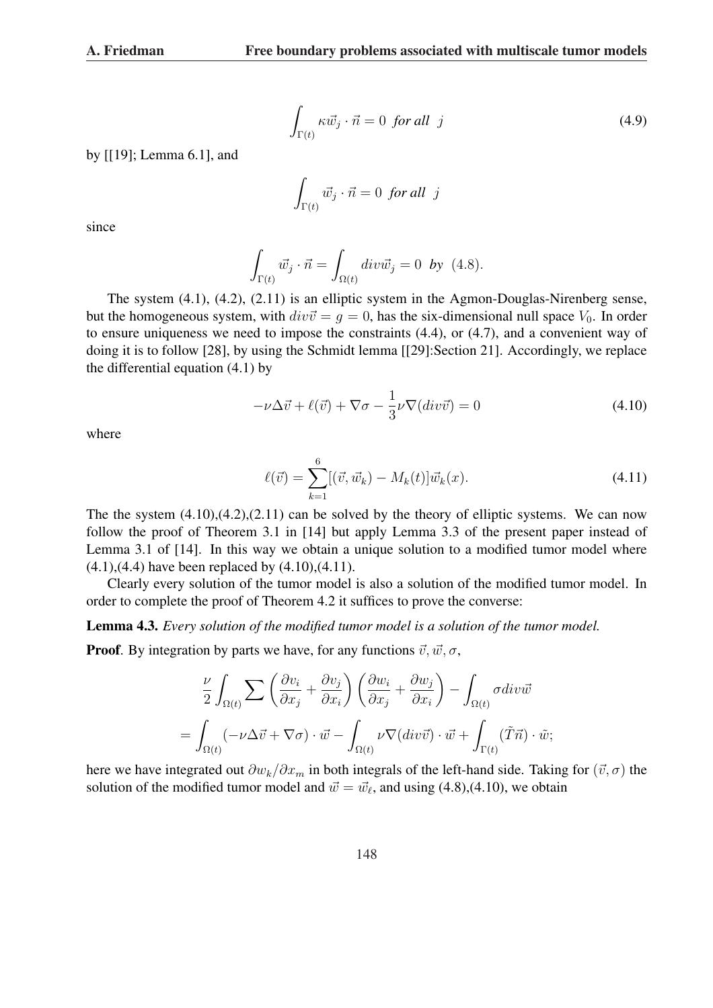$$
\int_{\Gamma(t)} \kappa \vec{w}_j \cdot \vec{n} = 0 \text{ for all } j \tag{4.9}
$$

by [[19]; Lemma 6.1], and

$$
\int_{\Gamma(t)} \vec{w}_j \cdot \vec{n} = 0 \text{ for all } j
$$

since

$$
\int_{\Gamma(t)} \vec{w}_j \cdot \vec{n} = \int_{\Omega(t)} \operatorname{div} \vec{w}_j = 0 \quad \text{by} \quad (4.8).
$$

The system (4.1), (4.2), (2.11) is an elliptic system in the Agmon-Douglas-Nirenberg sense, but the homogeneous system, with  $div\vec{v} = g = 0$ , has the six-dimensional null space  $V_0$ . In order to ensure uniqueness we need to impose the constraints (4.4), or (4.7), and a convenient way of doing it is to follow [28], by using the Schmidt lemma [[29]:Section 21]. Accordingly, we replace the differential equation (4.1) by

$$
-\nu\Delta\vec{v} + \ell(\vec{v}) + \nabla\sigma - \frac{1}{3}\nu\nabla(\dot{div}\vec{v}) = 0
$$
\n(4.10)

where

$$
\ell(\vec{v}) = \sum_{k=1}^{6} [(\vec{v}, \vec{w}_k) - M_k(t)] \vec{w}_k(x).
$$
\n(4.11)

The the system  $(4.10)$ , $(4.2)$ , $(2.11)$  can be solved by the theory of elliptic systems. We can now follow the proof of Theorem 3.1 in [14] but apply Lemma 3.3 of the present paper instead of Lemma 3.1 of [14]. In this way we obtain a unique solution to a modified tumor model where  $(4.1)$ , $(4.4)$  have been replaced by  $(4.10)$ , $(4.11)$ .

Clearly every solution of the tumor model is also a solution of the modified tumor model. In order to complete the proof of Theorem 4.2 it suffices to prove the converse:

Lemma 4.3. *Every solution of the modified tumor model is a solution of the tumor model.*

**Proof.** By integration by parts we have, for any functions  $\vec{v}, \vec{w}, \sigma$ ,

$$
\frac{\nu}{2} \int_{\Omega(t)} \sum \left( \frac{\partial v_i}{\partial x_j} + \frac{\partial v_j}{\partial x_i} \right) \left( \frac{\partial w_i}{\partial x_j} + \frac{\partial w_j}{\partial x_i} \right) - \int_{\Omega(t)} \sigma \, div \vec{w}
$$
\n
$$
= \int_{\Omega(t)} (-\nu \Delta \vec{v} + \nabla \sigma) \cdot \vec{w} - \int_{\Omega(t)} \nu \nabla (div \vec{v}) \cdot \vec{w} + \int_{\Gamma(t)} (\tilde{T} \vec{n}) \cdot \tilde{w};
$$

here we have integrated out  $\partial w_k/\partial x_m$  in both integrals of the left-hand side. Taking for  $(\vec{v}, \sigma)$  the solution of the modified tumor model and  $\vec{w} = \vec{w}_\ell$ , and using (4.8),(4.10), we obtain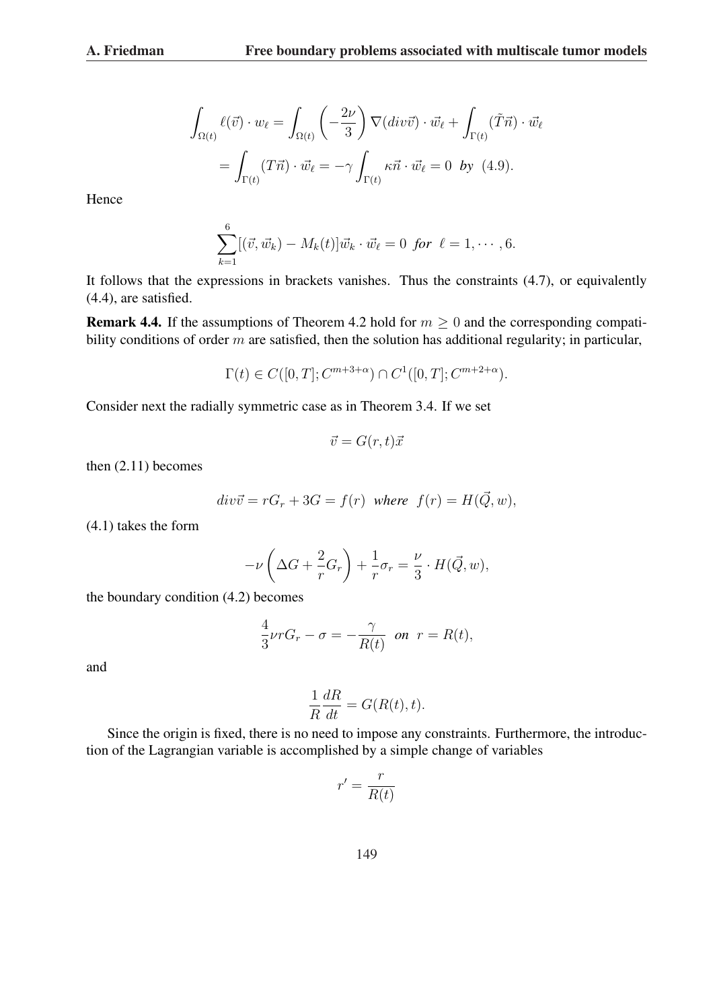$$
\int_{\Omega(t)} \ell(\vec{v}) \cdot w_{\ell} = \int_{\Omega(t)} \left( -\frac{2\nu}{3} \right) \nabla (div \vec{v}) \cdot \vec{w}_{\ell} + \int_{\Gamma(t)} (\tilde{T}\vec{n}) \cdot \vec{w}_{\ell}
$$

$$
= \int_{\Gamma(t)} (T\vec{n}) \cdot \vec{w}_{\ell} = -\gamma \int_{\Gamma(t)} \kappa \vec{n} \cdot \vec{w}_{\ell} = 0 \text{ by (4.9)}.
$$

Hence

$$
\sum_{k=1}^{6} [(\vec{v}, \vec{w}_k) - M_k(t)] \vec{w}_k \cdot \vec{w}_{\ell} = 0 \ \ \text{for} \ \ \ell = 1, \cdots, 6.
$$

It follows that the expressions in brackets vanishes. Thus the constraints (4.7), or equivalently (4.4), are satisfied.

**Remark 4.4.** If the assumptions of Theorem 4.2 hold for  $m \geq 0$  and the corresponding compatibility conditions of order  $m$  are satisfied, then the solution has additional regularity; in particular,

$$
\Gamma(t) \in C([0, T]; C^{m+3+\alpha}) \cap C^1([0, T]; C^{m+2+\alpha}).
$$

Consider next the radially symmetric case as in Theorem 3.4. If we set

$$
\vec{v} = G(r, t)\vec{x}
$$

then (2.11) becomes

$$
div\vec{v} = rG_r + 3G = f(r)
$$
 where  $f(r) = H(\vec{Q}, w)$ ,

(4.1) takes the form

$$
-\nu\left(\Delta G + \frac{2}{r}G_r\right) + \frac{1}{r}\sigma_r = \frac{\nu}{3} \cdot H(\vec{Q}, w),
$$

the boundary condition (4.2) becomes

$$
\frac{4}{3}\nu rG_r - \sigma = -\frac{\gamma}{R(t)} \quad \text{on} \quad r = R(t),
$$

and

$$
\frac{1}{R}\frac{dR}{dt} = G(R(t), t).
$$

Since the origin is fixed, there is no need to impose any constraints. Furthermore, the introduction of the Lagrangian variable is accomplished by a simple change of variables

$$
r' = \frac{r}{R(t)}
$$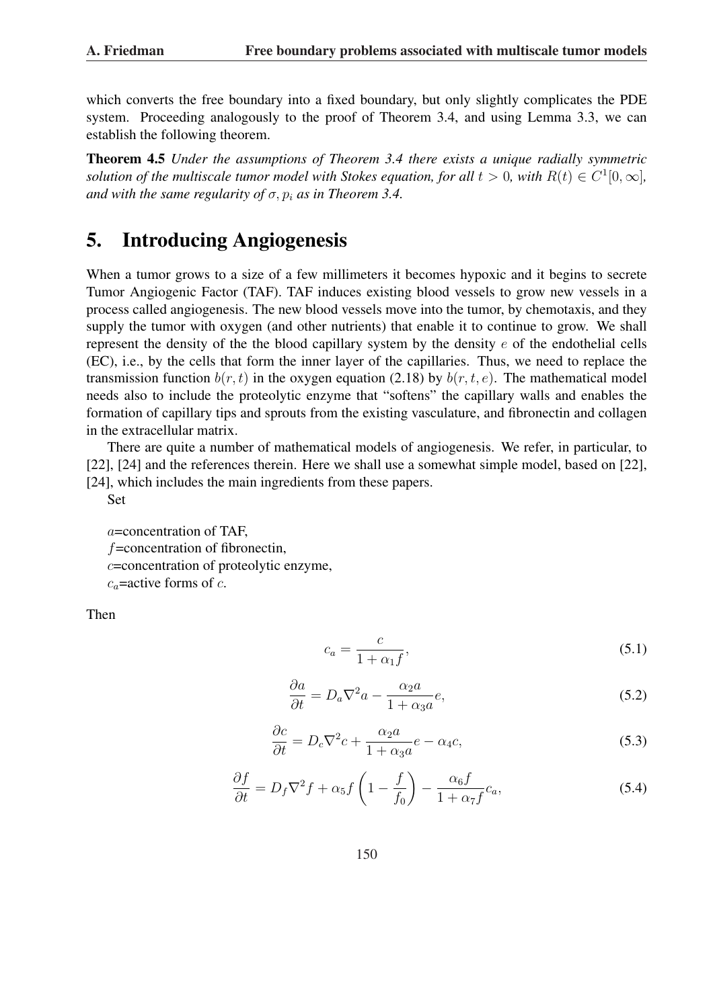which converts the free boundary into a fixed boundary, but only slightly complicates the PDE system. Proceeding analogously to the proof of Theorem 3.4, and using Lemma 3.3, we can establish the following theorem.

Theorem 4.5 *Under the assumptions of Theorem 3.4 there exists a unique radially symmetric solution of the multiscale tumor model with Stokes equation, for all*  $t > 0$ , with  $R(t) \in C^1[0, \infty]$ , *and with the same regularity of*  $\sigma$ ,  $p_i$  *as in Theorem 3.4.* 

# 5. Introducing Angiogenesis

When a tumor grows to a size of a few millimeters it becomes hypoxic and it begins to secrete Tumor Angiogenic Factor (TAF). TAF induces existing blood vessels to grow new vessels in a process called angiogenesis. The new blood vessels move into the tumor, by chemotaxis, and they supply the tumor with oxygen (and other nutrients) that enable it to continue to grow. We shall represent the density of the the blood capillary system by the density  $e$  of the endothelial cells (EC), i.e., by the cells that form the inner layer of the capillaries. Thus, we need to replace the transmission function  $b(r, t)$  in the oxygen equation (2.18) by  $b(r, t, e)$ . The mathematical model needs also to include the proteolytic enzyme that "softens" the capillary walls and enables the formation of capillary tips and sprouts from the existing vasculature, and fibronectin and collagen in the extracellular matrix.

There are quite a number of mathematical models of angiogenesis. We refer, in particular, to [22], [24] and the references therein. Here we shall use a somewhat simple model, based on [22], [24], which includes the main ingredients from these papers.

Set

a=concentration of TAF,  $f$ =concentration of fibronectin, c=concentration of proteolytic enzyme,  $c<sub>a</sub>$ =active forms of c.

Then

$$
c_a = \frac{c}{1 + \alpha_1 f},\tag{5.1}
$$

$$
\frac{\partial a}{\partial t} = D_a \nabla^2 a - \frac{\alpha_2 a}{1 + \alpha_3 a} e,\tag{5.2}
$$

$$
\frac{\partial c}{\partial t} = D_c \nabla^2 c + \frac{\alpha_2 a}{1 + \alpha_3 a} e - \alpha_4 c,\tag{5.3}
$$

$$
\frac{\partial f}{\partial t} = D_f \nabla^2 f + \alpha_5 f \left( 1 - \frac{f}{f_0} \right) - \frac{\alpha_6 f}{1 + \alpha_7 f} c_a,\tag{5.4}
$$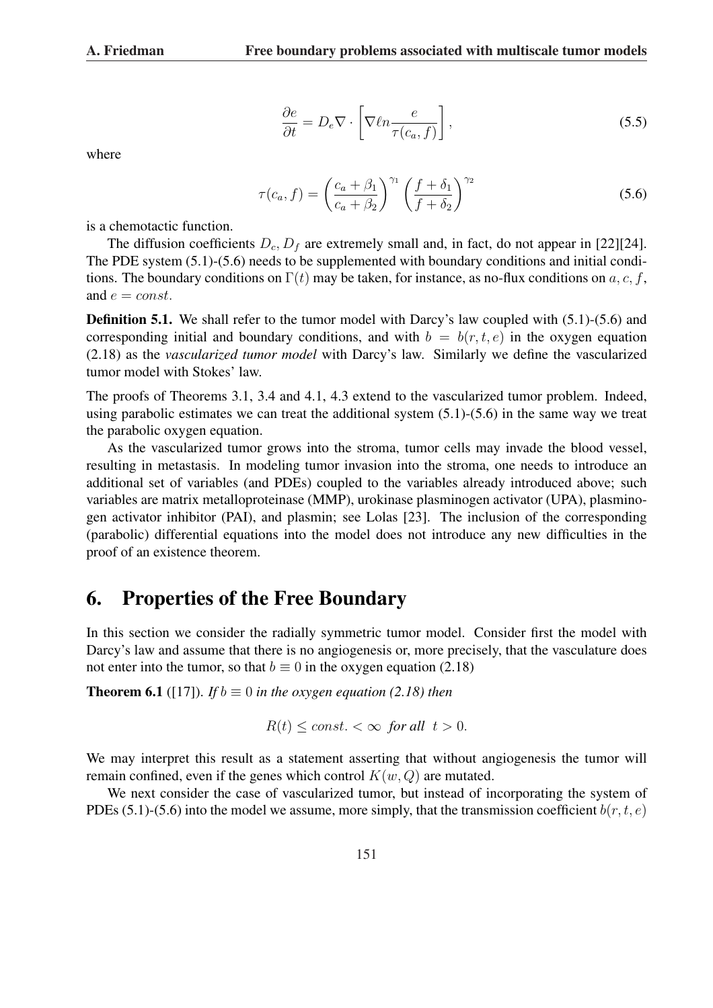$$
\frac{\partial e}{\partial t} = D_e \nabla \cdot \left[ \nabla \ell n \frac{e}{\tau(c_a, f)} \right],\tag{5.5}
$$

where

$$
\tau(c_a, f) = \left(\frac{c_a + \beta_1}{c_a + \beta_2}\right)^{\gamma_1} \left(\frac{f + \delta_1}{f + \delta_2}\right)^{\gamma_2} \tag{5.6}
$$

is a chemotactic function.

The diffusion coefficients  $D_c$ ,  $D_f$  are extremely small and, in fact, do not appear in [22][24]. The PDE system (5.1)-(5.6) needs to be supplemented with boundary conditions and initial conditions. The boundary conditions on  $\Gamma(t)$  may be taken, for instance, as no-flux conditions on a, c, f, and  $e = const.$ 

**Definition 5.1.** We shall refer to the tumor model with Darcy's law coupled with (5.1)-(5.6) and corresponding initial and boundary conditions, and with  $b = b(r, t, e)$  in the oxygen equation (2.18) as the *vascularized tumor model* with Darcy's law. Similarly we define the vascularized tumor model with Stokes' law.

The proofs of Theorems 3.1, 3.4 and 4.1, 4.3 extend to the vascularized tumor problem. Indeed, using parabolic estimates we can treat the additional system (5.1)-(5.6) in the same way we treat the parabolic oxygen equation.

As the vascularized tumor grows into the stroma, tumor cells may invade the blood vessel, resulting in metastasis. In modeling tumor invasion into the stroma, one needs to introduce an additional set of variables (and PDEs) coupled to the variables already introduced above; such variables are matrix metalloproteinase (MMP), urokinase plasminogen activator (UPA), plasminogen activator inhibitor (PAI), and plasmin; see Lolas [23]. The inclusion of the corresponding (parabolic) differential equations into the model does not introduce any new difficulties in the proof of an existence theorem.

#### 6. Properties of the Free Boundary

In this section we consider the radially symmetric tumor model. Consider first the model with Darcy's law and assume that there is no angiogenesis or, more precisely, that the vasculature does not enter into the tumor, so that  $b \equiv 0$  in the oxygen equation (2.18)

**Theorem 6.1** ([17]). *If*  $b \equiv 0$  *in the oxygen equation (2.18) then* 

$$
R(t) \le const. < \infty \text{ for all } t > 0.
$$

We may interpret this result as a statement asserting that without angiogenesis the tumor will remain confined, even if the genes which control  $K(w, Q)$  are mutated.

We next consider the case of vascularized tumor, but instead of incorporating the system of PDEs (5.1)-(5.6) into the model we assume, more simply, that the transmission coefficient  $b(r, t, e)$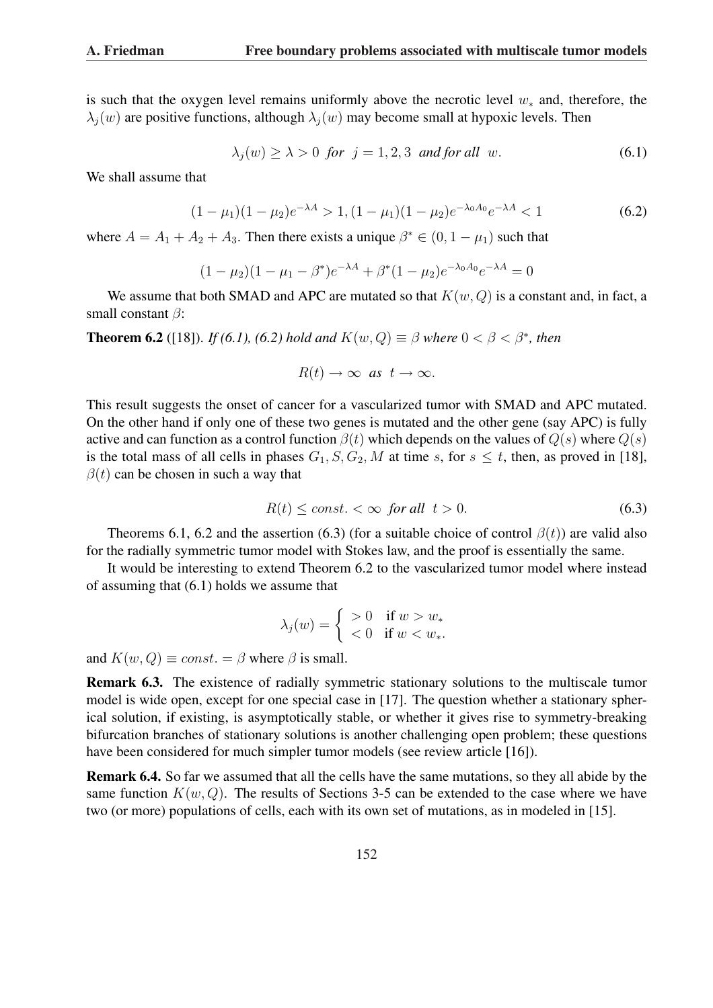is such that the oxygen level remains uniformly above the necrotic level  $w_*$  and, therefore, the  $\lambda_i(w)$  are positive functions, although  $\lambda_i(w)$  may become small at hypoxic levels. Then

$$
\lambda_j(w) \ge \lambda > 0 \text{ for } j = 1, 2, 3 \text{ and for all } w. \tag{6.1}
$$

We shall assume that

$$
(1 - \mu_1)(1 - \mu_2)e^{-\lambda A} > 1, (1 - \mu_1)(1 - \mu_2)e^{-\lambda_0 A_0}e^{-\lambda A} < 1
$$
\n(6.2)

where  $A = A_1 + A_2 + A_3$ . Then there exists a unique  $\beta^* \in (0, 1 - \mu_1)$  such that

$$
(1 - \mu_2)(1 - \mu_1 - \beta^*)e^{-\lambda A} + \beta^*(1 - \mu_2)e^{-\lambda_0 A_0}e^{-\lambda A} = 0
$$

We assume that both SMAD and APC are mutated so that  $K(w, Q)$  is a constant and, in fact, a small constant  $\beta$ :

**Theorem 6.2** ([18]). *If (6.1), (6.2) hold and*  $K(w, Q) \equiv \beta$  *where*  $0 < \beta < \beta^*$ *, then* 

$$
R(t) \to \infty \ \text{as} \ t \to \infty.
$$

This result suggests the onset of cancer for a vascularized tumor with SMAD and APC mutated. On the other hand if only one of these two genes is mutated and the other gene (say APC) is fully active and can function as a control function  $\beta(t)$  which depends on the values of  $Q(s)$  where  $Q(s)$ is the total mass of all cells in phases  $G_1$ ,  $S$ ,  $G_2$ ,  $M$  at time  $s$ , for  $s \leq t$ , then, as proved in [18],  $\beta(t)$  can be chosen in such a way that

$$
R(t) \le const. < \infty \quad \text{for all} \quad t > 0. \tag{6.3}
$$

Theorems 6.1, 6.2 and the assertion (6.3) (for a suitable choice of control  $\beta(t)$ ) are valid also for the radially symmetric tumor model with Stokes law, and the proof is essentially the same.

It would be interesting to extend Theorem 6.2 to the vascularized tumor model where instead of assuming that (6.1) holds we assume that

$$
\lambda_j(w) = \begin{cases}\n>0 & \text{if } w > w_* \\
< 0 & \text{if } w < w_*.\n\end{cases}
$$

and  $K(w, Q) \equiv const. = \beta$  where  $\beta$  is small.

Remark 6.3. The existence of radially symmetric stationary solutions to the multiscale tumor model is wide open, except for one special case in [17]. The question whether a stationary spherical solution, if existing, is asymptotically stable, or whether it gives rise to symmetry-breaking bifurcation branches of stationary solutions is another challenging open problem; these questions have been considered for much simpler tumor models (see review article [16]).

Remark 6.4. So far we assumed that all the cells have the same mutations, so they all abide by the same function  $K(w, Q)$ . The results of Sections 3-5 can be extended to the case where we have two (or more) populations of cells, each with its own set of mutations, as in modeled in [15].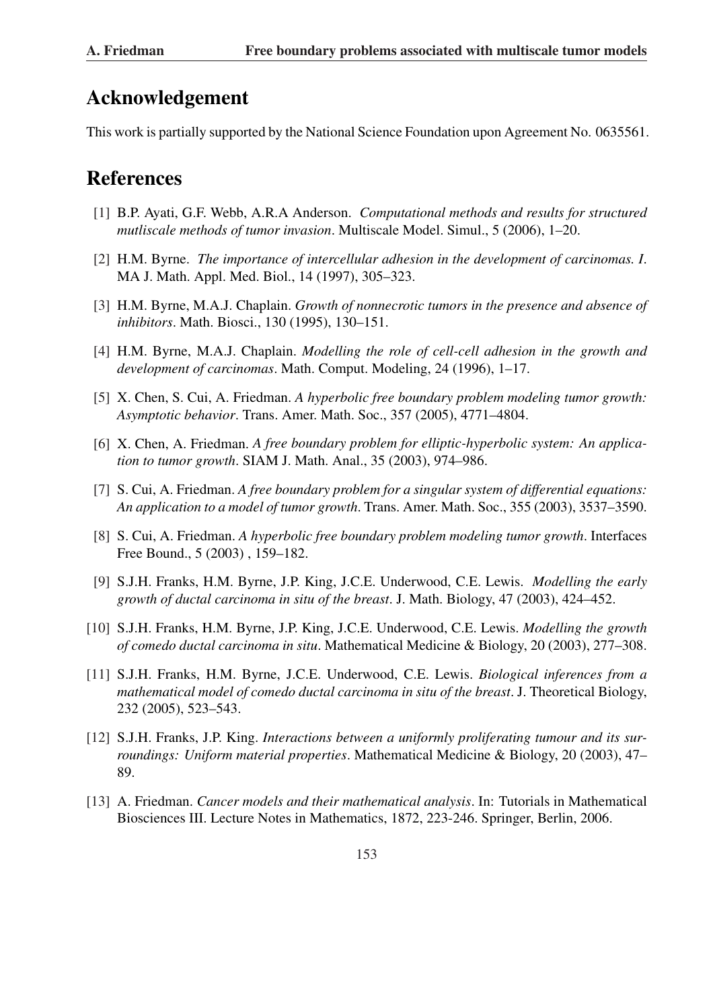# Acknowledgement

This work is partially supported by the National Science Foundation upon Agreement No. 0635561.

# References

- [1] B.P. Ayati, G.F. Webb, A.R.A Anderson. *Computational methods and results for structured mutliscale methods of tumor invasion*. Multiscale Model. Simul., 5 (2006), 1–20.
- [2] H.M. Byrne. *The importance of intercellular adhesion in the development of carcinomas. I*. MA J. Math. Appl. Med. Biol., 14 (1997), 305–323.
- [3] H.M. Byrne, M.A.J. Chaplain. *Growth of nonnecrotic tumors in the presence and absence of inhibitors*. Math. Biosci., 130 (1995), 130–151.
- [4] H.M. Byrne, M.A.J. Chaplain. *Modelling the role of cell-cell adhesion in the growth and development of carcinomas*. Math. Comput. Modeling, 24 (1996), 1–17.
- [5] X. Chen, S. Cui, A. Friedman. *A hyperbolic free boundary problem modeling tumor growth: Asymptotic behavior*. Trans. Amer. Math. Soc., 357 (2005), 4771–4804.
- [6] X. Chen, A. Friedman. *A free boundary problem for elliptic-hyperbolic system: An application to tumor growth*. SIAM J. Math. Anal., 35 (2003), 974–986.
- [7] S. Cui, A. Friedman. *A free boundary problem for a singular system of differential equations: An application to a model of tumor growth*. Trans. Amer. Math. Soc., 355 (2003), 3537–3590.
- [8] S. Cui, A. Friedman. *A hyperbolic free boundary problem modeling tumor growth*. Interfaces Free Bound., 5 (2003) , 159–182.
- [9] S.J.H. Franks, H.M. Byrne, J.P. King, J.C.E. Underwood, C.E. Lewis. *Modelling the early growth of ductal carcinoma in situ of the breast*. J. Math. Biology, 47 (2003), 424–452.
- [10] S.J.H. Franks, H.M. Byrne, J.P. King, J.C.E. Underwood, C.E. Lewis. *Modelling the growth of comedo ductal carcinoma in situ*. Mathematical Medicine & Biology, 20 (2003), 277–308.
- [11] S.J.H. Franks, H.M. Byrne, J.C.E. Underwood, C.E. Lewis. *Biological inferences from a mathematical model of comedo ductal carcinoma in situ of the breast*. J. Theoretical Biology, 232 (2005), 523–543.
- [12] S.J.H. Franks, J.P. King. *Interactions between a uniformly proliferating tumour and its surroundings: Uniform material properties*. Mathematical Medicine & Biology, 20 (2003), 47– 89.
- [13] A. Friedman. *Cancer models and their mathematical analysis*. In: Tutorials in Mathematical Biosciences III. Lecture Notes in Mathematics, 1872, 223-246. Springer, Berlin, 2006.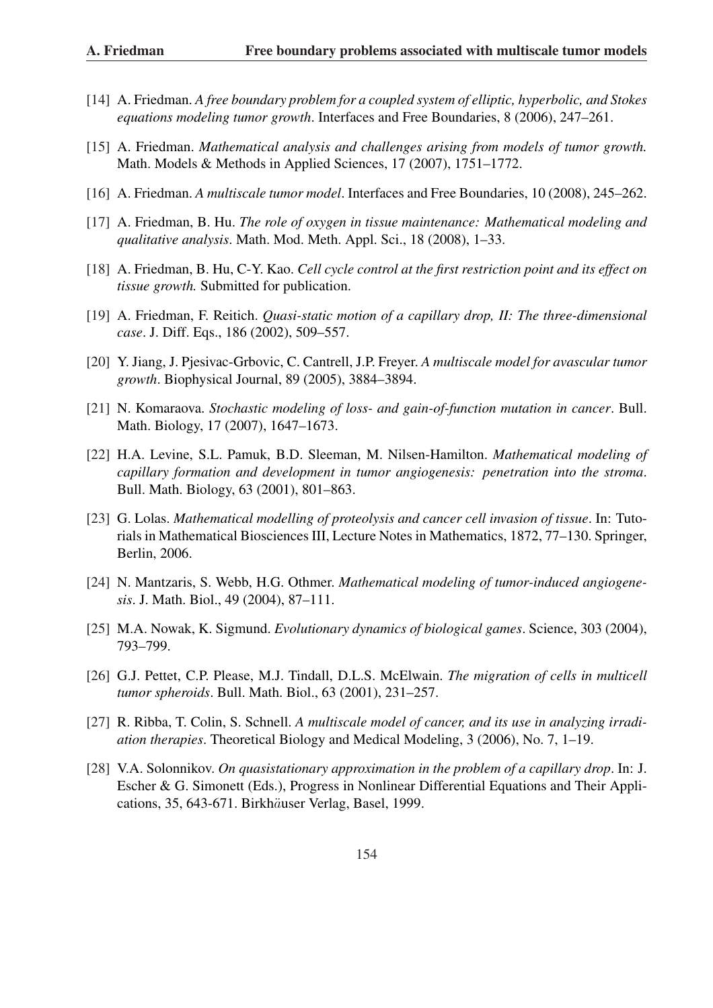- [14] A. Friedman. *A free boundary problem for a coupled system of elliptic, hyperbolic, and Stokes equations modeling tumor growth*. Interfaces and Free Boundaries, 8 (2006), 247–261.
- [15] A. Friedman. *Mathematical analysis and challenges arising from models of tumor growth.* Math. Models & Methods in Applied Sciences, 17 (2007), 1751–1772.
- [16] A. Friedman. *A multiscale tumor model*. Interfaces and Free Boundaries, 10 (2008), 245–262.
- [17] A. Friedman, B. Hu. *The role of oxygen in tissue maintenance: Mathematical modeling and qualitative analysis*. Math. Mod. Meth. Appl. Sci., 18 (2008), 1–33.
- [18] A. Friedman, B. Hu, C-Y. Kao. *Cell cycle control at the first restriction point and its effect on tissue growth.* Submitted for publication.
- [19] A. Friedman, F. Reitich. *Quasi-static motion of a capillary drop, II: The three-dimensional case*. J. Diff. Eqs., 186 (2002), 509–557.
- [20] Y. Jiang, J. Pjesivac-Grbovic, C. Cantrell, J.P. Freyer. *A multiscale model for avascular tumor growth*. Biophysical Journal, 89 (2005), 3884–3894.
- [21] N. Komaraova. *Stochastic modeling of loss- and gain-of-function mutation in cancer*. Bull. Math. Biology, 17 (2007), 1647–1673.
- [22] H.A. Levine, S.L. Pamuk, B.D. Sleeman, M. Nilsen-Hamilton. *Mathematical modeling of capillary formation and development in tumor angiogenesis: penetration into the stroma*. Bull. Math. Biology, 63 (2001), 801–863.
- [23] G. Lolas. *Mathematical modelling of proteolysis and cancer cell invasion of tissue*. In: Tutorials in Mathematical Biosciences III, Lecture Notes in Mathematics, 1872, 77–130. Springer, Berlin, 2006.
- [24] N. Mantzaris, S. Webb, H.G. Othmer. *Mathematical modeling of tumor-induced angiogenesis*. J. Math. Biol., 49 (2004), 87–111.
- [25] M.A. Nowak, K. Sigmund. *Evolutionary dynamics of biological games*. Science, 303 (2004), 793–799.
- [26] G.J. Pettet, C.P. Please, M.J. Tindall, D.L.S. McElwain. *The migration of cells in multicell tumor spheroids*. Bull. Math. Biol., 63 (2001), 231–257.
- [27] R. Ribba, T. Colin, S. Schnell. *A multiscale model of cancer, and its use in analyzing irradiation therapies*. Theoretical Biology and Medical Modeling, 3 (2006), No. 7, 1–19.
- [28] V.A. Solonnikov. *On quasistationary approximation in the problem of a capillary drop*. In: J. Escher & G. Simonett (Eds.), Progress in Nonlinear Differential Equations and Their Applications, 35, 643-671. Birkhäuser Verlag, Basel, 1999.